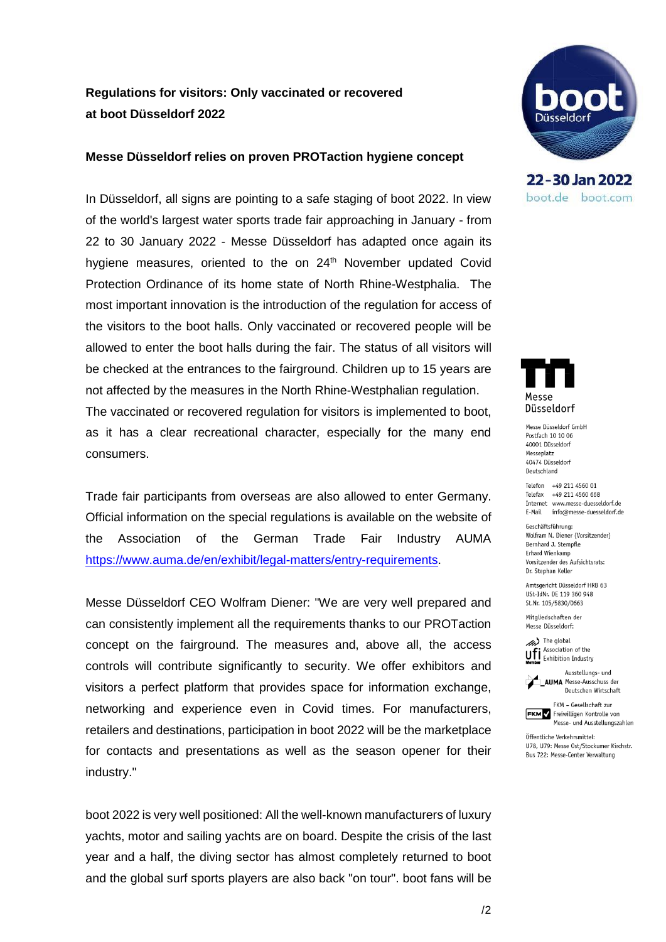# **Regulations for visitors: Only vaccinated or recovered at boot Düsseldorf 2022**

### **Messe Düsseldorf relies on proven PROTaction hygiene concept**

In Düsseldorf, all signs are pointing to a safe staging of boot 2022. In view of the world's largest water sports trade fair approaching in January - from 22 to 30 January 2022 - Messe Düsseldorf has adapted once again its hygiene measures, oriented to the on 24<sup>th</sup> November updated Covid Protection Ordinance of its home state of North Rhine-Westphalia. The most important innovation is the introduction of the regulation for access of the visitors to the boot halls. Only vaccinated or recovered people will be allowed to enter the boot halls during the fair. The status of all visitors will be checked at the entrances to the fairground. Children up to 15 years are not affected by the measures in the North Rhine-Westphalian regulation. The vaccinated or recovered regulation for visitors is implemented to boot, as it has a clear recreational character, especially for the many end consumers.

Trade fair participants from overseas are also allowed to enter Germany. Official information on the special regulations is available on the website of the Association of the German Trade Fair Industry AUMA [https://www.auma.de/en/exhibit/legal-matters/entry-requirements.](https://www.auma.de/en/exhibit/legal-matters/entry-requirements)

Messe Düsseldorf CEO Wolfram Diener: "We are very well prepared and can consistently implement all the requirements thanks to our PROTaction concept on the fairground. The measures and, above all, the access controls will contribute significantly to security. We offer exhibitors and visitors a perfect platform that provides space for information exchange, networking and experience even in Covid times. For manufacturers, retailers and destinations, participation in boot 2022 will be the marketplace for contacts and presentations as well as the season opener for their industry."

boot 2022 is very well positioned: All the well-known manufacturers of luxury yachts, motor and sailing yachts are on board. Despite the crisis of the last year and a half, the diving sector has almost completely returned to boot and the global surf sports players are also back "on tour". boot fans will be



22-30 Jan 2022 boot.de boot.com



Messe Düsseldorf GmbH Postfach 10 10 06 40001 Düsseldorf Messeplatz 40474 Düsseldorf Deutschland

Telefon +49 211 4560 01 Telefax +49 211 4560 668 Internet www.messe-duesseldorf.de E-Mail info@messe-duesseldorf.de

Geschäftsführung: Wolfram N. Diener (Vorsitzender) Bernhard J. Stempfle Erhard Wienkamp Vorsitzender des Aufsichtsrats: Dr. Stephan Keller

Amtsgericht Düsseldorf HRB 63 USt-IdNr. DE 119 360 948 St.Nr. 105/5830/0663

Mitaliedschaften der Messe Düsseldorf:



Ausstellungs- und **AUMA** Messe-Ausschuss der Deutschen Wirtschaft



Öffentliche Verkehrsmittel: 1178 1179: Messe Ost/Stockumer Kirchstr. Bus 722: Messe-Center Verwaltung